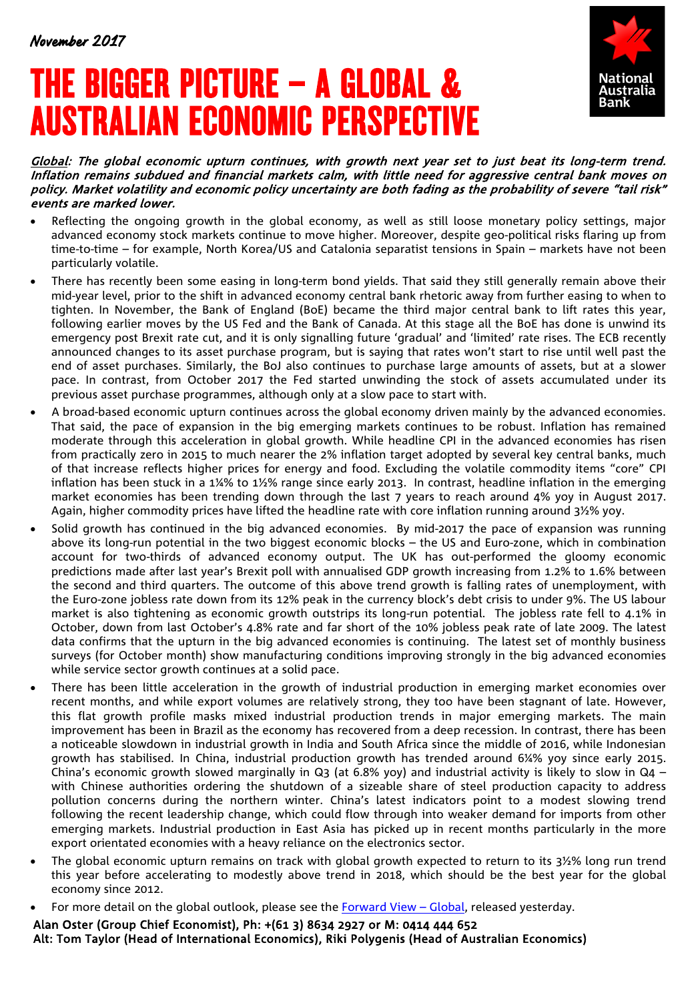# THE BIGGER PICTURE – A GLOBAL & AUSTRALIAN ECONOMIC PERSPECTIVE



Global: The global economic upturn continues, with growth next year set to just beat its long-term trend. Inflation remains subdued and financial markets calm, with little need for aggressive central bank moves on policy. Market volatility and economic policy uncertainty are both fading as the probability of severe "tail risk" events are marked lower.

- Reflecting the ongoing growth in the global economy, as well as still loose monetary policy settings, major advanced economy stock markets continue to move higher. Moreover, despite geo-political risks flaring up from time-to-time – for example, North Korea/US and Catalonia separatist tensions in Spain – markets have not been particularly volatile.
- There has recently been some easing in long-term bond yields. That said they still generally remain above their mid-year level, prior to the shift in advanced economy central bank rhetoric away from further easing to when to tighten. In November, the Bank of England (BoE) became the third major central bank to lift rates this year, following earlier moves by the US Fed and the Bank of Canada. At this stage all the BoE has done is unwind its emergency post Brexit rate cut, and it is only signalling future 'gradual' and 'limited' rate rises. The ECB recently announced changes to its asset purchase program, but is saying that rates won't start to rise until well past the end of asset purchases. Similarly, the BoJ also continues to purchase large amounts of assets, but at a slower pace. In contrast, from October 2017 the Fed started unwinding the stock of assets accumulated under its previous asset purchase programmes, although only at a slow pace to start with.
- A broad-based economic upturn continues across the global economy driven mainly by the advanced economies. That said, the pace of expansion in the big emerging markets continues to be robust. Inflation has remained moderate through this acceleration in global growth. While headline CPI in the advanced economies has risen from practically zero in 2015 to much nearer the 2% inflation target adopted by several key central banks, much of that increase reflects higher prices for energy and food. Excluding the volatile commodity items "core" CPI inflation has been stuck in a 1¼% to 1½% range since early 2013. In contrast, headline inflation in the emerging market economies has been trending down through the last 7 years to reach around 4% yoy in August 2017. Again, higher commodity prices have lifted the headline rate with core inflation running around 3½% yoy.
- Solid growth has continued in the big advanced economies. By mid-2017 the pace of expansion was running above its long-run potential in the two biggest economic blocks – the US and Euro-zone, which in combination account for two-thirds of advanced economy output. The UK has out-performed the gloomy economic predictions made after last year's Brexit poll with annualised GDP growth increasing from 1.2% to 1.6% between the second and third quarters. The outcome of this above trend growth is falling rates of unemployment, with the Euro-zone jobless rate down from its 12% peak in the currency block's debt crisis to under 9%. The US labour market is also tightening as economic growth outstrips its long-run potential. The jobless rate fell to 4.1% in October, down from last October's 4.8% rate and far short of the 10% jobless peak rate of late 2009. The latest data confirms that the upturn in the big advanced economies is continuing. The latest set of monthly business surveys (for October month) show manufacturing conditions improving strongly in the big advanced economies while service sector growth continues at a solid pace.
- There has been little acceleration in the growth of industrial production in emerging market economies over recent months, and while export volumes are relatively strong, they too have been stagnant of late. However, this flat growth profile masks mixed industrial production trends in major emerging markets. The main improvement has been in Brazil as the economy has recovered from a deep recession. In contrast, there has been a noticeable slowdown in industrial growth in India and South Africa since the middle of 2016, while Indonesian growth has stabilised. In China, industrial production growth has trended around 6¼% yoy since early 2015. China's economic growth slowed marginally in Q3 (at 6.8% yoy) and industrial activity is likely to slow in Q4 – with Chinese authorities ordering the shutdown of a sizeable share of steel production capacity to address pollution concerns during the northern winter. China's latest indicators point to a modest slowing trend following the recent leadership change, which could flow through into weaker demand for imports from other emerging markets. Industrial production in East Asia has picked up in recent months particularly in the more export orientated economies with a heavy reliance on the electronics sector.
- The global economic upturn remains on track with global growth expected to return to its 3½% long run trend this year before accelerating to modestly above trend in 2018, which should be the best year for the global economy since 2012.
- For more detail on the global outlook, please see the [Forward View –](https://business.nab.com.au/forward-view-global-november-2017-27104/) Global, released yesterday.

Alan Oster (Group Chief Economist), Ph: +(61 3) 8634 2927 or M: 0414 444 652 Alt: Tom Taylor (Head of International Economics), Riki Polygenis (Head of Australian Economics)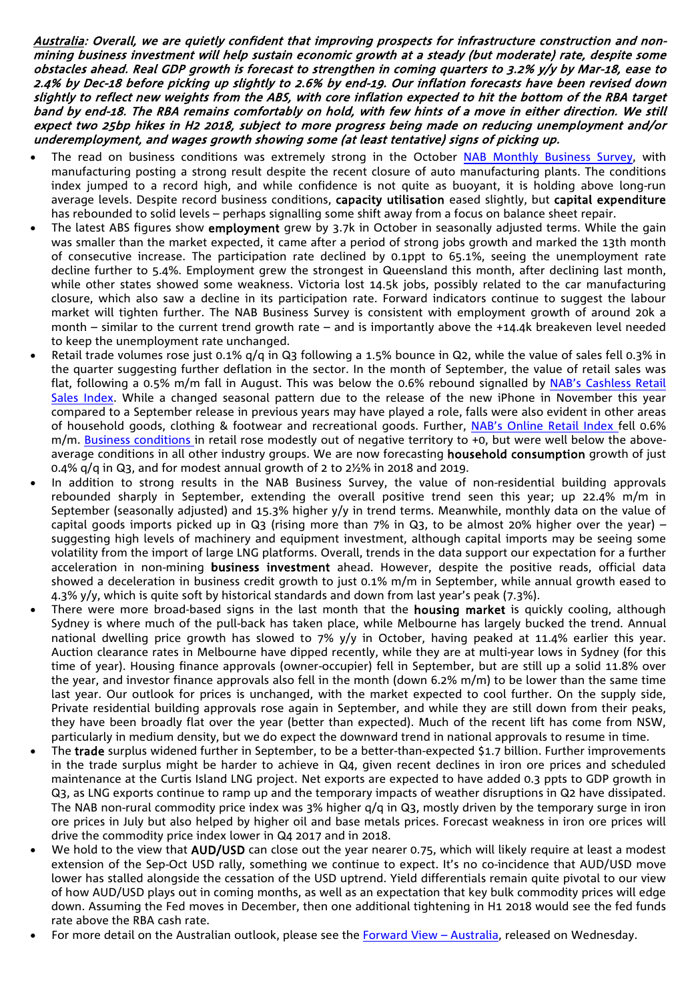Australia: Overall, we are quietly confident that improving prospects for infrastructure construction and nonmining business investment will help sustain economic growth at a steady (but moderate) rate, despite some obstacles ahead. Real GDP growth is forecast to strengthen in coming quarters to 3.2% y/y by Mar-18, ease to 2.4% by Dec-18 before picking up slightly to 2.6% by end-19. Our inflation forecasts have been revised down slightly to reflect new weights from the ABS, with core inflation expected to hit the bottom of the RBA target band by end-18. The RBA remains comfortably on hold, with few hints of a move in either direction. We still expect two 25bp hikes in H2 2018, subject to more progress being made on reducing unemployment and/or underemployment, and wages growth showing some (at least tentative) signs of picking up.

- The read on business conditions was extremely strong in the October [NAB Monthly Business](https://business.nab.com.au/nab-monthly-business-survey-october-2017-27019/) [Survey,](https://business.nab.com.au/nab-monthly-business-survey-october-2017-27019/) with manufacturing posting a strong result despite the recent closure of auto manufacturing plants. The conditions index jumped to a record high, and while confidence is not quite as buoyant, it is holding above long-run average levels. Despite record business conditions, capacity utilisation eased slightly, but capital expenditure has rebounded to solid levels – perhaps signalling some shift away from a focus on balance sheet repair.
- The latest ABS figures show employment grew by 3.7k in October in seasonally adjusted terms. While the gain was smaller than the market expected, it came after a period of strong jobs growth and marked the 13th month of consecutive increase. The participation rate declined by 0.1ppt to 65.1%, seeing the unemployment rate decline further to 5.4%. Employment grew the strongest in Queensland this month, after declining last month, while other states showed some weakness. Victoria lost 14.5k jobs, possibly related to the car manufacturing closure, which also saw a decline in its participation rate. Forward indicators continue to suggest the labour market will tighten further. The NAB Business Survey is consistent with employment growth of around 20k a month – similar to the current trend growth rate – and is importantly above the +14.4k breakeven level needed to keep the unemployment rate unchanged.
- Retail trade volumes rose just 0.1% q/q in Q3 following a 1.5% bounce in Q2, while the value of sales fell 0.3% in the quarter suggesting further deflation in the sector. In the month of September, the value of retail sales was flat, following a 0.5% m/m fall in August. This was below the 0.6% rebound signalled by [NAB's Cashless Retail](https://business.nab.com.au/nab-monthly-cashless-retail-sales-index-september-2017-26771/)  [Sales Index.](https://business.nab.com.au/nab-monthly-cashless-retail-sales-index-september-2017-26771/) While a changed seasonal pattern due to the release of the new iPhone in November this year compared to a September release in previous years may have played a role, falls were also evident in other areas of household goods, clothing & footwear and recreational goods. Further, [NAB's Online Retail Index f](https://business.nab.com.au/nab-online-retail-sales-index-quarterly-update-september-2017-26953/)ell 0.6% m/m. [Business conditions i](https://business.nab.com.au/nab-monthly-business-survey-october-2017-27019/)n retail rose modestly out of negative territory to +0, but were well below the aboveaverage conditions in all other industry groups. We are now forecasting **household consumption** growth of just 0.4%  $q/q$  in Q3, and for modest annual growth of 2 to  $2\frac{1}{2}\%$  in 2018 and 2019.
- In addition to strong results in the NAB Business Survey, the value of non-residential building approvals rebounded sharply in September, extending the overall positive trend seen this year; up 22.4% m/m in September (seasonally adjusted) and 15.3% higher y/y in trend terms. Meanwhile, monthly data on the value of capital goods imports picked up in Q3 (rising more than 7% in Q3, to be almost 20% higher over the year) suggesting high levels of machinery and equipment investment, although capital imports may be seeing some volatility from the import of large LNG platforms. Overall, trends in the data support our expectation for a further acceleration in non-mining business investment ahead. However, despite the positive reads, official data showed a deceleration in business credit growth to just 0.1% m/m in September, while annual growth eased to 4.3% y/y, which is quite soft by historical standards and down from last year's peak (7.3%).
- There were more broad-based signs in the last month that the **housing market** is quickly cooling, although Sydney is where much of the pull-back has taken place, while Melbourne has largely bucked the trend. Annual national dwelling price growth has slowed to 7% y/y in October, having peaked at 11.4% earlier this year. Auction clearance rates in Melbourne have dipped recently, while they are at multi-year lows in Sydney (for this time of year). Housing finance approvals (owner-occupier) fell in September, but are still up a solid 11.8% over the year, and investor finance approvals also fell in the month (down 6.2% m/m) to be lower than the same time last year. Our outlook for prices is unchanged, with the market expected to cool further. On the supply side, Private residential building approvals rose again in September, and while they are still down from their peaks, they have been broadly flat over the year (better than expected). Much of the recent lift has come from NSW, particularly in medium density, but we do expect the downward trend in national approvals to resume in time.
- The trade surplus widened further in September, to be a better-than-expected \$1.7 billion. Further improvements in the trade surplus might be harder to achieve in Q4, given recent declines in iron ore prices and scheduled maintenance at the Curtis Island LNG project. Net exports are expected to have added 0.3 ppts to GDP growth in Q3, as LNG exports continue to ramp up and the temporary impacts of weather disruptions in Q2 have dissipated. The NAB non-rural commodity price index was 3% higher q/q in Q3, mostly driven by the temporary surge in iron ore prices in July but also helped by higher oil and base metals prices. Forecast weakness in iron ore prices will drive the commodity price index lower in Q4 2017 and in 2018.
- We hold to the view that AUD/USD can close out the year nearer 0.75, which will likely require at least a modest extension of the Sep-Oct USD rally, something we continue to expect. It's no co-incidence that AUD/USD move lower has stalled alongside the cessation of the USD uptrend. Yield differentials remain quite pivotal to our view of how AUD/USD plays out in coming months, as well as an expectation that key bulk commodity prices will edge down. Assuming the Fed moves in December, then one additional tightening in H1 2018 would see the fed funds rate above the RBA cash rate.
- For more detail on the Australian outlook, please see the Forward View Australia, released on Wednesday.